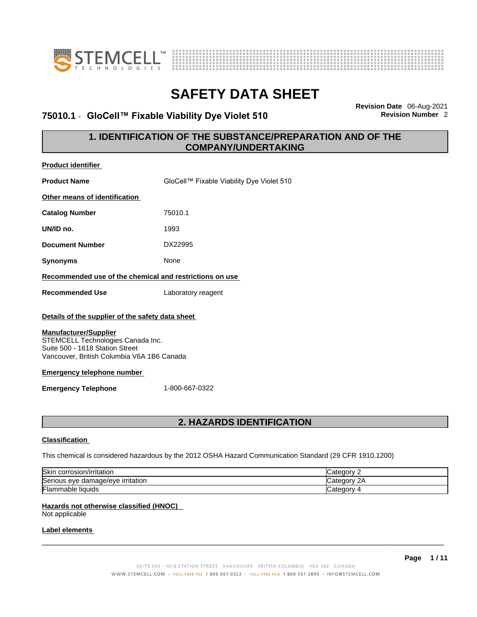



### **75010.1** - **GloCell™ Fixable Viability Dye Violet 510 Revision Number** 2

**Revision Date** 06-Aug-2021

### **1. IDENTIFICATION OF THE SUBSTANCE/PREPARATION AND OF THE COMPANY/UNDERTAKING**

| <b>Product identifier</b>                                                                                                                          |                                           |
|----------------------------------------------------------------------------------------------------------------------------------------------------|-------------------------------------------|
| <b>Product Name</b>                                                                                                                                | GloCell™ Fixable Viability Dye Violet 510 |
| Other means of identification                                                                                                                      |                                           |
| <b>Catalog Number</b>                                                                                                                              | 75010.1                                   |
| UN/ID no.                                                                                                                                          | 1993                                      |
| <b>Document Number</b>                                                                                                                             | DX22995                                   |
| <b>Synonyms</b>                                                                                                                                    | None                                      |
| Recommended use of the chemical and restrictions on use                                                                                            |                                           |
| <b>Recommended Use</b>                                                                                                                             | Laboratory reagent                        |
| Details of the supplier of the safety data sheet                                                                                                   |                                           |
| <b>Manufacturer/Supplier</b><br>STEMCELL Technologies Canada Inc.<br>Suite 500 - 1618 Station Street<br>Vancouver, British Columbia V6A 1B6 Canada |                                           |
| <b>Emergency telephone number</b>                                                                                                                  |                                           |
| <b>Emergency Telephone</b>                                                                                                                         | 1-800-667-0322                            |
|                                                                                                                                                    | <b>2. HAZARDS IDENTIFICATION</b>          |

#### **Classification**

This chemical is considered hazardous by the 2012 OSHA Hazard Communication Standard (29 CFR 1910.1200)

| Skin<br>corrosion/irritation                 | ategory.                 |
|----------------------------------------------|--------------------------|
| Seriou<br>irritation<br>damade/eve<br>us eve | `ategorv .<br>$\sqrt{2}$ |
| Flam.<br>nmable liquids                      | <i>- اس</i> ⊲tegorv      |

#### **Hazards not otherwise classified (HNOC)**

Not applicable

#### **Label elements**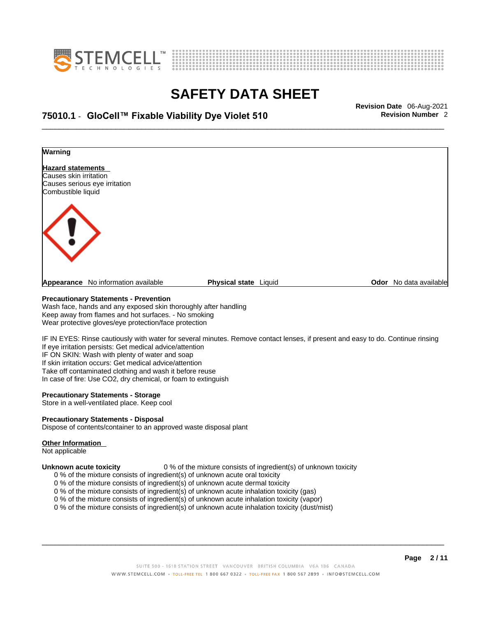



## \_\_\_\_\_\_\_\_\_\_\_\_\_\_\_\_\_\_\_\_\_\_\_\_\_\_\_\_\_\_\_\_\_\_\_\_\_\_\_\_\_\_\_\_\_\_\_\_\_\_\_\_\_\_\_\_\_\_\_\_\_\_\_\_\_\_\_\_\_\_\_\_\_\_\_\_\_\_\_\_\_\_\_\_\_\_\_\_\_\_\_\_\_ **Revision Date** 06-Aug-2021 **75010.1** - **GloCell™ Fixable Viability Dye Violet 510 Revision Number** 2



#### **Precautionary Statements - Prevention**

Wash face, hands and any exposed skin thoroughly after handling Keep away from flames and hot surfaces. - No smoking Wear protective gloves/eye protection/face protection

IF IN EYES: Rinse cautiously with water for several minutes. Remove contact lenses, if present and easy to do. Continue rinsing If eye irritation persists: Get medical advice/attention IF ON SKIN: Wash with plenty of water and soap If skin irritation occurs: Get medical advice/attention Take off contaminated clothing and wash it before reuse In case of fire: Use CO2, dry chemical, or foam to extinguish

#### **Precautionary Statements - Storage**

Store in a well-ventilated place. Keep cool

#### **Precautionary Statements - Disposal**

Dispose of contents/container to an approved waste disposal plant

#### **Other Information**

Not applicable

**Unknown acute toxicity** 0 % of the mixture consists of ingredient(s) of unknown toxicity

- 0 % of the mixture consists of ingredient(s) of unknown acute oral toxicity
- 0 % of the mixture consists of ingredient(s) of unknown acute dermal toxicity
- 0 % of the mixture consists of ingredient(s) of unknown acute inhalation toxicity (gas)
- 0 % of the mixture consists of ingredient(s) of unknown acute inhalation toxicity (vapor)

0 % of the mixture consists of ingredient(s) of unknown acute inhalation toxicity (dust/mist)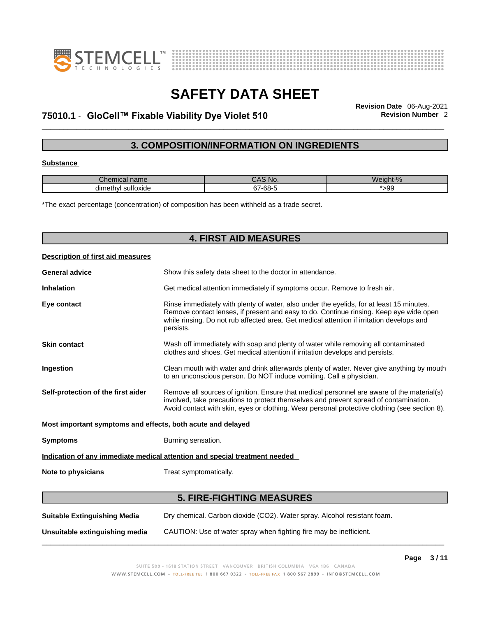



## \_\_\_\_\_\_\_\_\_\_\_\_\_\_\_\_\_\_\_\_\_\_\_\_\_\_\_\_\_\_\_\_\_\_\_\_\_\_\_\_\_\_\_\_\_\_\_\_\_\_\_\_\_\_\_\_\_\_\_\_\_\_\_\_\_\_\_\_\_\_\_\_\_\_\_\_\_\_\_\_\_\_\_\_\_\_\_\_\_\_\_\_\_ **Revision Date** 06-Aug-2021 **75010.1** - **GloCell™ Fixable Viability Dye Violet 510 Revision Number** 2

### **3. COMPOSITION/INFORMATION ON INGREDIENTS**

#### **Substance**

| Chemical name             | CAS No.          | Weight-% |
|---------------------------|------------------|----------|
| <br>dimethyl<br>sultoxide | $\sim$<br>67-68- | 99ء      |

\*The exact percentage (concentration) of composition has been withheld as a trade secret.

| <b>4. FIRST AID MEASURES</b>                                |                                                                                                                                                                                                                                                                                              |  |  |  |
|-------------------------------------------------------------|----------------------------------------------------------------------------------------------------------------------------------------------------------------------------------------------------------------------------------------------------------------------------------------------|--|--|--|
| Description of first aid measures                           |                                                                                                                                                                                                                                                                                              |  |  |  |
| <b>General advice</b>                                       | Show this safety data sheet to the doctor in attendance.                                                                                                                                                                                                                                     |  |  |  |
| <b>Inhalation</b>                                           | Get medical attention immediately if symptoms occur. Remove to fresh air.                                                                                                                                                                                                                    |  |  |  |
| Eye contact                                                 | Rinse immediately with plenty of water, also under the eyelids, for at least 15 minutes.<br>Remove contact lenses, if present and easy to do. Continue rinsing. Keep eye wide open<br>while rinsing. Do not rub affected area. Get medical attention if irritation develops and<br>persists. |  |  |  |
| <b>Skin contact</b>                                         | Wash off immediately with soap and plenty of water while removing all contaminated<br>clothes and shoes. Get medical attention if irritation develops and persists.                                                                                                                          |  |  |  |
| Ingestion                                                   | Clean mouth with water and drink afterwards plenty of water. Never give anything by mouth<br>to an unconscious person. Do NOT induce vomiting. Call a physician.                                                                                                                             |  |  |  |
| Self-protection of the first aider                          | Remove all sources of ignition. Ensure that medical personnel are aware of the material(s)<br>involved, take precautions to protect themselves and prevent spread of contamination.<br>Avoid contact with skin, eyes or clothing. Wear personal protective clothing (see section 8).         |  |  |  |
| Most important symptoms and effects, both acute and delayed |                                                                                                                                                                                                                                                                                              |  |  |  |
| <b>Symptoms</b>                                             | Burning sensation.                                                                                                                                                                                                                                                                           |  |  |  |
|                                                             | Indication of any immediate medical attention and special treatment needed                                                                                                                                                                                                                   |  |  |  |
| Note to physicians                                          | Treat symptomatically.                                                                                                                                                                                                                                                                       |  |  |  |
|                                                             | <b>5. FIRE-FIGHTING MEASURES</b>                                                                                                                                                                                                                                                             |  |  |  |
| <b>Suitable Extinguishing Media</b>                         | Dry chemical. Carbon dioxide (CO2). Water spray. Alcohol resistant foam.                                                                                                                                                                                                                     |  |  |  |

**Unsuitable extinguishing media** CAUTION: Use of water spray when fighting fire may be inefficient.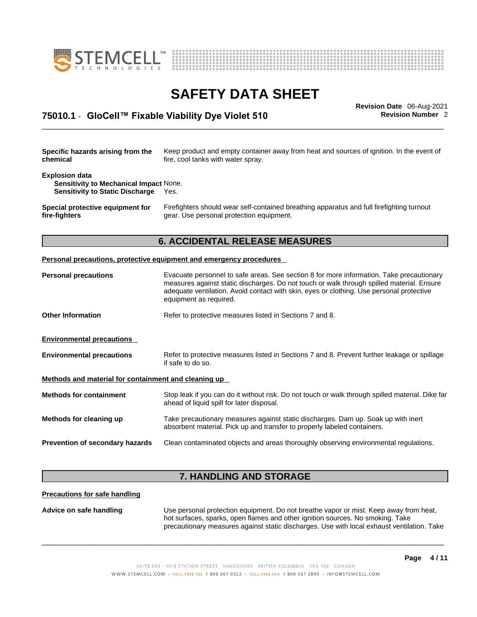



## \_\_\_\_\_\_\_\_\_\_\_\_\_\_\_\_\_\_\_\_\_\_\_\_\_\_\_\_\_\_\_\_\_\_\_\_\_\_\_\_\_\_\_\_\_\_\_\_\_\_\_\_\_\_\_\_\_\_\_\_\_\_\_\_\_\_\_\_\_\_\_\_\_\_\_\_\_\_\_\_\_\_\_\_\_\_\_\_\_\_\_\_\_ **Revision Date** 06-Aug-2021 **75010.1** - **GloCell™ Fixable Viability Dye Violet 510 Revision Number** 2

| Specific hazards arising from the<br>Keep product and empty container away from heat and sources of ignition. In the event of<br>fire, cool tanks with water spray.<br>chemical |                                                                                                                                                                                                                                                                                   |  |  |  |
|---------------------------------------------------------------------------------------------------------------------------------------------------------------------------------|-----------------------------------------------------------------------------------------------------------------------------------------------------------------------------------------------------------------------------------------------------------------------------------|--|--|--|
| <b>Explosion data</b><br><b>Sensitivity to Mechanical Impact None.</b><br><b>Sensitivity to Static Discharge</b>                                                                | Yes.                                                                                                                                                                                                                                                                              |  |  |  |
| Special protective equipment for<br>fire-fighters                                                                                                                               | Firefighters should wear self-contained breathing apparatus and full firefighting turnout<br>gear. Use personal protection equipment.                                                                                                                                             |  |  |  |
|                                                                                                                                                                                 | <b>6. ACCIDENTAL RELEASE MEASURES</b>                                                                                                                                                                                                                                             |  |  |  |
|                                                                                                                                                                                 | Personal precautions, protective equipment and emergency procedures                                                                                                                                                                                                               |  |  |  |
| <b>Personal precautions</b>                                                                                                                                                     | Evacuate personnel to safe areas. See section 8 for more information. Take precautionary<br>measures against static discharges. Do not touch or walk through spilled material. Ensure<br>adequate ventilation. Avoid contact with skin, eyes or clothing. Use personal protective |  |  |  |

equipment as required. **Other Information** Refer to protective measures listed in Sections 7 and 8.

**Environmental precautions** 

| <b>Environmental precautions</b> | Refer to protective measures listed in Sections 7 and 8. Prevent further leakage or spillage |
|----------------------------------|----------------------------------------------------------------------------------------------|
|                                  | if safe to do so.                                                                            |

**Methods and material for containment and cleaning up**

| <b>Methods for containment</b>  | Stop leak if you can do it without risk. Do not touch or walk through spilled material. Dike far<br>ahead of liquid spill for later disposal.                 |
|---------------------------------|---------------------------------------------------------------------------------------------------------------------------------------------------------------|
| Methods for cleaning up         | Take precautionary measures against static discharges. Dam up. Soak up with inert<br>absorbent material. Pick up and transfer to properly labeled containers. |
| Prevention of secondary hazards | Clean contaminated objects and areas thoroughly observing environmental regulations.                                                                          |

### **7. HANDLING AND STORAGE**

**Precautions for safe handling**

**Advice on safe handling** Use personal protection equipment.Do not breathe vapor or mist. Keep away from heat, hot surfaces, sparks, open flames and other ignition sources. No smoking. Take precautionary measures against static discharges. Use with local exhaust ventilation. Take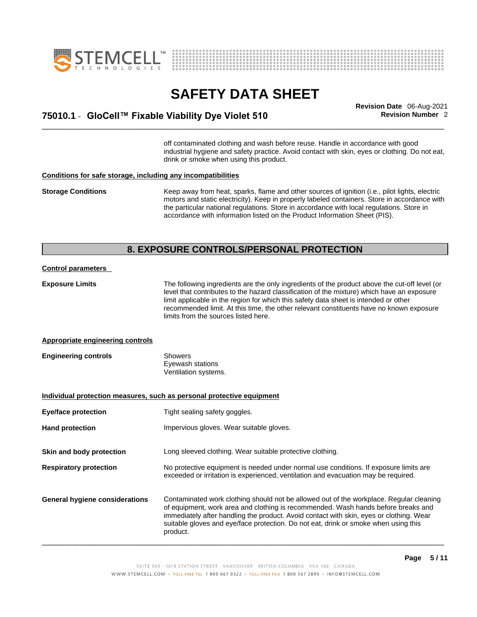



\_\_\_\_\_\_\_\_\_\_\_\_\_\_\_\_\_\_\_\_\_\_\_\_\_\_\_\_\_\_\_\_\_\_\_\_\_\_\_\_\_\_\_\_\_\_\_\_\_\_\_\_\_\_\_\_\_\_\_\_\_\_\_\_\_\_\_\_\_\_\_\_\_\_\_\_\_\_\_\_\_\_\_\_\_\_\_\_\_\_\_\_\_ **Revision Date** 06-Aug-2021 **75010.1** - **GloCell™ Fixable Viability Dye Violet 510 Revision Number** 2

off contaminated clothing and wash before reuse. Handle in accordance with good industrial hygiene and safety practice. Avoid contact with skin, eyes or clothing. Do not eat, drink or smoke when using this product.

#### **Conditions for safe storage, including any incompatibilities**

**Storage Conditions** Keep away from heat, sparks, flame and other sources of ignition (i.e., pilot lights, electric motors and static electricity). Keep in properly labeled containers. Store in accordance with the particular national regulations. Store in accordance with local regulations. Store in accordance with information listed on the Product Information Sheet (PIS).

#### **8. EXPOSURE CONTROLS/PERSONAL PROTECTION**

#### **Control parameters**

**Exposure Limits** The following ingredients are the only ingredients of the product above the cut-off level (or level that contributes to the hazard classification of the mixture) which have an exposure limit applicable in the region for which this safety data sheet is intended or other recommended limit. At this time, the other relevant constituents have no known exposure limits from the sources listed here.

#### **Appropriate engineering controls**

| <b>Engineering controls</b> | Showers              |  |
|-----------------------------|----------------------|--|
|                             | Eyewash stations     |  |
|                             | Ventilation systems. |  |

**Individual protection measures, such as personal protective equipment Eye/face protection** Tight sealing safety goggles. Hand protection **Impervious gloves.** Wear suitable gloves. **Skin and body protection** Long sleeved clothing. Wear suitable protective clothing. **Respiratory protection** No protective equipment is needed under normal use conditions. If exposure limits are exceeded or irritation is experienced, ventilation and evacuation may be required. **General hygiene considerations** Contaminated work clothing should not be allowed outof the workplace. Regular cleaning of equipment, work area and clothing is recommended. Wash hands before breaks and immediately after handling the product. Avoid contact with skin, eyes or clothing. Wear suitable gloves and eye/face protection. Do not eat, drink or smoke when using this product.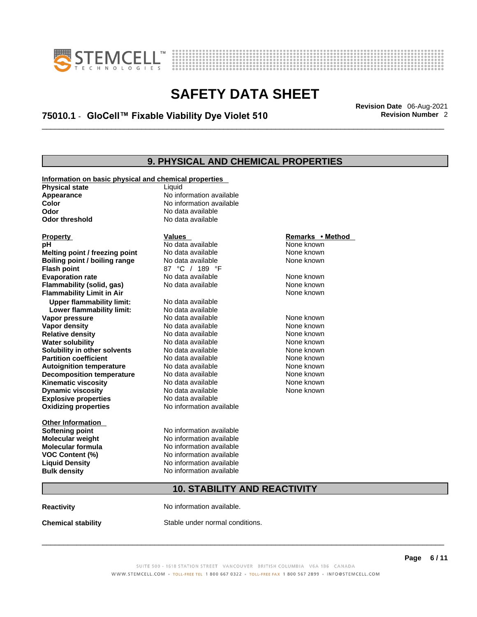



## \_\_\_\_\_\_\_\_\_\_\_\_\_\_\_\_\_\_\_\_\_\_\_\_\_\_\_\_\_\_\_\_\_\_\_\_\_\_\_\_\_\_\_\_\_\_\_\_\_\_\_\_\_\_\_\_\_\_\_\_\_\_\_\_\_\_\_\_\_\_\_\_\_\_\_\_\_\_\_\_\_\_\_\_\_\_\_\_\_\_\_\_\_ **Revision Date** 06-Aug-2021 **75010.1** - **GloCell™ Fixable Viability Dye Violet 510 Revision Number** 2

### **9. PHYSICAL AND CHEMICAL PROPERTIES**

| Information on basic physical and chemical properties |                                     |                  |  |
|-------------------------------------------------------|-------------------------------------|------------------|--|
| <b>Physical state</b>                                 | Liquid                              |                  |  |
| Appearance                                            | No information available            |                  |  |
| Color                                                 | No information available            |                  |  |
| Odor                                                  | No data available                   |                  |  |
| <b>Odor threshold</b>                                 | No data available                   |                  |  |
|                                                       |                                     |                  |  |
| <b>Property</b>                                       | <b>Values</b>                       | Remarks • Method |  |
| рH                                                    | No data available                   | None known       |  |
| Melting point / freezing point                        | No data available                   | None known       |  |
| Boiling point / boiling range                         | No data available                   | None known       |  |
| <b>Flash point</b>                                    | 87 °C / 189 °F                      |                  |  |
| <b>Evaporation rate</b>                               | No data available                   | None known       |  |
| Flammability (solid, gas)                             | No data available                   | None known       |  |
| <b>Flammability Limit in Air</b>                      |                                     | None known       |  |
| <b>Upper flammability limit:</b>                      | No data available                   |                  |  |
| Lower flammability limit:                             | No data available                   |                  |  |
| Vapor pressure                                        | No data available                   | None known       |  |
| Vapor density                                         | No data available                   | None known       |  |
| <b>Relative density</b>                               | No data available                   | None known       |  |
| <b>Water solubility</b>                               | No data available                   | None known       |  |
| Solubility in other solvents                          | No data available                   | None known       |  |
| <b>Partition coefficient</b>                          | No data available                   | None known       |  |
| <b>Autoignition temperature</b>                       | No data available                   | None known       |  |
| <b>Decomposition temperature</b>                      | No data available                   | None known       |  |
| <b>Kinematic viscosity</b>                            | No data available                   | None known       |  |
| <b>Dynamic viscosity</b>                              | No data available                   | None known       |  |
| <b>Explosive properties</b>                           | No data available                   |                  |  |
| <b>Oxidizing properties</b>                           | No information available            |                  |  |
| <b>Other Information</b>                              |                                     |                  |  |
| <b>Softening point</b>                                | No information available            |                  |  |
| Molecular weight                                      | No information available            |                  |  |
| <b>Molecular formula</b>                              | No information available            |                  |  |
| <b>VOC Content (%)</b>                                | No information available            |                  |  |
| <b>Liquid Density</b>                                 | No information available            |                  |  |
| <b>Bulk density</b>                                   | No information available            |                  |  |
|                                                       | <b>10. STABILITY AND REACTIVITY</b> |                  |  |
|                                                       |                                     |                  |  |
| <b>Reactivity</b>                                     | No information available.           |                  |  |

**Chemical stability** Stable under normal conditions.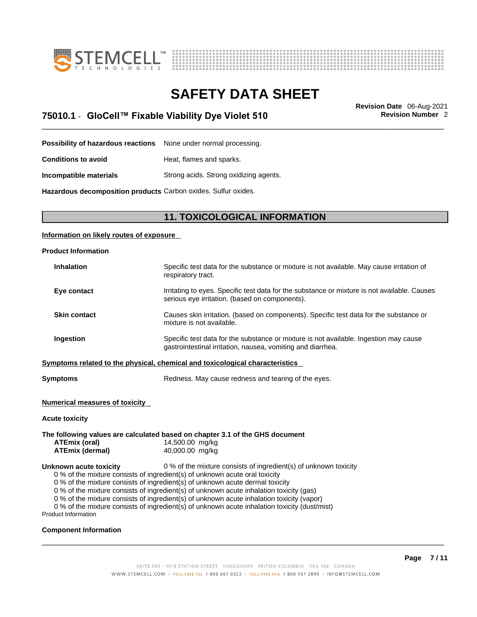



\_\_\_\_\_\_\_\_\_\_\_\_\_\_\_\_\_\_\_\_\_\_\_\_\_\_\_\_\_\_\_\_\_\_\_\_\_\_\_\_\_\_\_\_\_\_\_\_\_\_\_\_\_\_\_\_\_\_\_\_\_\_\_\_\_\_\_\_\_\_\_\_\_\_\_\_\_\_\_\_\_\_\_\_\_\_\_\_\_\_\_\_\_ **Revision Date** 06-Aug-2021 **75010.1** - **GloCell™ Fixable Viability Dye Violet 510 Revision Number** 2

**Possibility of hazardous reactions** None under normal processing.

**Conditions to avoid Heat, flames and sparks.** 

**Incompatible materials** Strong acids. Strong oxidizing agents.

**Hazardous decomposition products** Carbon oxides. Sulfur oxides.

### **11. TOXICOLOGICAL INFORMATION**

#### **Information on likely routes of exposure**

| <b>Product Information</b> |                                                                                                                                                      |
|----------------------------|------------------------------------------------------------------------------------------------------------------------------------------------------|
| <b>Inhalation</b>          | Specific test data for the substance or mixture is not available. May cause irritation of<br>respiratory tract.                                      |
| Eye contact                | Irritating to eyes. Specific test data for the substance or mixture is not available. Causes<br>serious eye irritation. (based on components).       |
| <b>Skin contact</b>        | Causes skin irritation. (based on components). Specific test data for the substance or<br>mixture is not available.                                  |
| Ingestion                  | Specific test data for the substance or mixture is not available. Ingestion may cause<br>gastrointestinal irritation, nausea, vomiting and diarrhea. |
|                            | Symptoms related to the physical, chemical and toxicological characteristics                                                                         |
|                            |                                                                                                                                                      |

**Symptoms** Redness. May cause redness and tearing of the eyes.

#### **Numerical measures of toxicity**

#### **Acute toxicity**

**The following values are calculated based on chapter 3.1 of the GHS document ATEmix (oral)** 14,500.00 mg/kg **ATEmix (dermal)**40,000.00 mg/kg **Unknown acute toxicity** 0 % of the mixture consists of ingredient(s) of unknown toxicity 0 % of the mixture consists of ingredient(s) of unknown acute oral toxicity 0 % of the mixture consists of ingredient(s) of unknown acute dermal toxicity 0 % of the mixture consists of ingredient(s) of unknown acute inhalation toxicity (gas)

0 % of the mixture consists of ingredient(s) of unknown acute inhalation toxicity (vapor)

0 % of the mixture consists of ingredient(s) of unknown acute inhalation toxicity (dust/mist)

Product Information

#### **Component Information**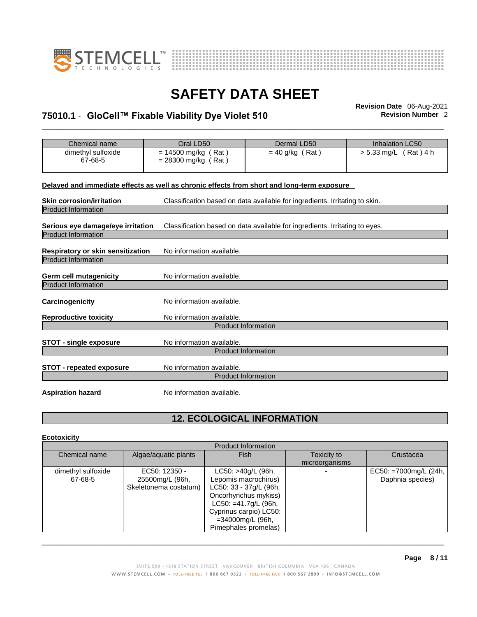



## \_\_\_\_\_\_\_\_\_\_\_\_\_\_\_\_\_\_\_\_\_\_\_\_\_\_\_\_\_\_\_\_\_\_\_\_\_\_\_\_\_\_\_\_\_\_\_\_\_\_\_\_\_\_\_\_\_\_\_\_\_\_\_\_\_\_\_\_\_\_\_\_\_\_\_\_\_\_\_\_\_\_\_\_\_\_\_\_\_\_\_\_\_ **Revision Date** 06-Aug-2021 **75010.1** - **GloCell™ Fixable Viability Dye Violet 510 Revision Number** 2

| Chemical name                                                                              | Oral LD50                 | Dermal LD50                                                                 | <b>Inhalation LC50</b> |
|--------------------------------------------------------------------------------------------|---------------------------|-----------------------------------------------------------------------------|------------------------|
| dimethyl sulfoxide                                                                         | $= 14500$ mg/kg (Rat)     | $= 40$ g/kg (Rat)                                                           | > 5.33 mg/L (Rat) 4 h  |
| 67-68-5                                                                                    | $= 28300$ mg/kg (Rat)     |                                                                             |                        |
|                                                                                            |                           |                                                                             |                        |
|                                                                                            |                           |                                                                             |                        |
| Delayed and immediate effects as well as chronic effects from short and long-term exposure |                           |                                                                             |                        |
| <b>Skin corrosion/irritation</b>                                                           |                           | Classification based on data available for ingredients. Irritating to skin. |                        |
| <b>Product Information</b>                                                                 |                           |                                                                             |                        |
|                                                                                            |                           |                                                                             |                        |
| Serious eye damage/eye irritation                                                          |                           | Classification based on data available for ingredients. Irritating to eyes. |                        |
| <b>Product Information</b>                                                                 |                           |                                                                             |                        |
|                                                                                            |                           |                                                                             |                        |
| Respiratory or skin sensitization                                                          | No information available. |                                                                             |                        |
| <b>Product Information</b>                                                                 |                           |                                                                             |                        |
|                                                                                            |                           |                                                                             |                        |
| <b>Germ cell mutagenicity</b>                                                              | No information available. |                                                                             |                        |
| <b>Product Information</b>                                                                 |                           |                                                                             |                        |
|                                                                                            |                           |                                                                             |                        |
| Carcinogenicity                                                                            | No information available. |                                                                             |                        |
| <b>Reproductive toxicity</b>                                                               | No information available. |                                                                             |                        |
|                                                                                            |                           | <b>Product Information</b>                                                  |                        |
|                                                                                            |                           |                                                                             |                        |
| <b>STOT - single exposure</b>                                                              | No information available. |                                                                             |                        |
|                                                                                            |                           | <b>Product Information</b>                                                  |                        |
|                                                                                            |                           |                                                                             |                        |
| <b>STOT - repeated exposure</b>                                                            | No information available. |                                                                             |                        |
|                                                                                            |                           | <b>Product Information</b>                                                  |                        |
|                                                                                            |                           |                                                                             |                        |
| <b>Aspiration hazard</b>                                                                   | No information available. |                                                                             |                        |
|                                                                                            |                           |                                                                             |                        |

### **12. ECOLOGICAL INFORMATION**

#### **Ecotoxicity**

| <b>Product Information</b> |                       |                         |                |                       |
|----------------------------|-----------------------|-------------------------|----------------|-----------------------|
| Chemical name              | Algae/aquatic plants  | <b>Fish</b>             | Toxicity to    | Crustacea             |
|                            |                       |                         | microorganisms |                       |
| dimethyl sulfoxide         | EC50: 12350 -         | LC50: >40g/L (96h,      |                | EC50: =7000mg/L (24h, |
| 67-68-5                    | 25500mg/L (96h,       | Lepomis macrochirus)    |                | Daphnia species)      |
|                            | Skeletonema costatum) | LC50: 33 - 37g/L (96h,  |                |                       |
|                            |                       | Oncorhynchus mykiss)    |                |                       |
|                            |                       | $LC50: = 41.7g/L$ (96h, |                |                       |
|                            |                       | Cyprinus carpio) LC50:  |                |                       |
|                            |                       | =34000mg/L (96h,        |                |                       |
|                            |                       | Pimephales promelas)    |                |                       |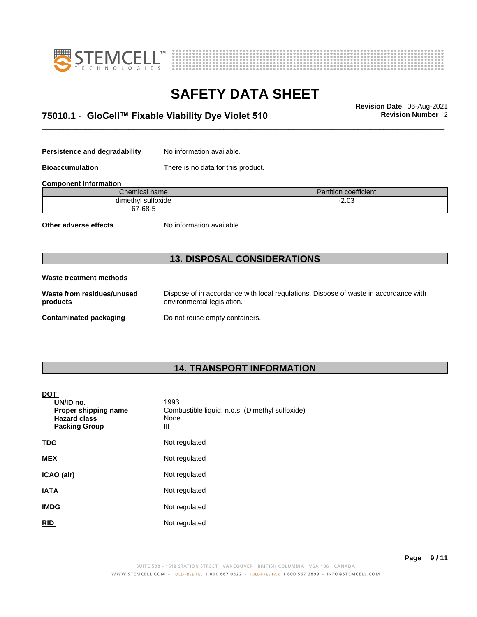



## \_\_\_\_\_\_\_\_\_\_\_\_\_\_\_\_\_\_\_\_\_\_\_\_\_\_\_\_\_\_\_\_\_\_\_\_\_\_\_\_\_\_\_\_\_\_\_\_\_\_\_\_\_\_\_\_\_\_\_\_\_\_\_\_\_\_\_\_\_\_\_\_\_\_\_\_\_\_\_\_\_\_\_\_\_\_\_\_\_\_\_\_\_ **Revision Date** 06-Aug-2021 **75010.1** - **GloCell™ Fixable Viability Dye Violet 510 Revision Number** 2

**Persistence and degradability** No information available.

**Bioaccumulation** There is no data for this product.

**Component Information**

| Chemical name l    | Partition coefficient |
|--------------------|-----------------------|
| dimethyl sulfoxide | מ∩ מ<br>-2.UJ<br>$ -$ |
| 67-68-5            |                       |

**Other adverse effects** No information available.

### **13. DISPOSAL CONSIDERATIONS**

#### **Waste treatment methods**

**Waste from residues/unused products** 

Dispose of in accordance with local regulations. Dispose of waste in accordance with environmental legislation.

**Contaminated packaging** Do not reuse empty containers.

### **14. TRANSPORT INFORMATION**

#### **DOT**

| UN/ID no.<br>Proper shipping name<br><b>Hazard class</b><br><b>Packing Group</b> | 1993<br>Combustible liquid, n.o.s. (Dimethyl sulfoxide)<br>None<br>Ш |
|----------------------------------------------------------------------------------|----------------------------------------------------------------------|
| <b>TDG</b>                                                                       | Not regulated                                                        |
| <b>MEX</b>                                                                       | Not regulated                                                        |
| ICAO (air)                                                                       | Not regulated                                                        |
| <b>IATA</b>                                                                      | Not regulated                                                        |
| <b>IMDG</b>                                                                      | Not regulated                                                        |
| <b>RID</b>                                                                       | Not regulated                                                        |
|                                                                                  |                                                                      |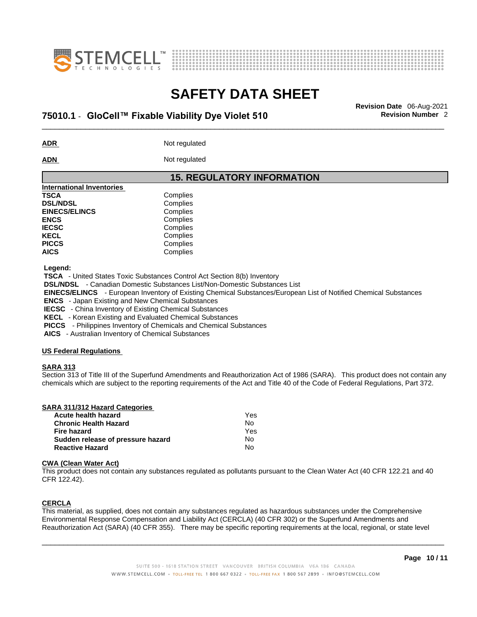



## \_\_\_\_\_\_\_\_\_\_\_\_\_\_\_\_\_\_\_\_\_\_\_\_\_\_\_\_\_\_\_\_\_\_\_\_\_\_\_\_\_\_\_\_\_\_\_\_\_\_\_\_\_\_\_\_\_\_\_\_\_\_\_\_\_\_\_\_\_\_\_\_\_\_\_\_\_\_\_\_\_\_\_\_\_\_\_\_\_\_\_\_\_ **Revision Date** 06-Aug-2021 **75010.1** - **GloCell™ Fixable Viability Dye Violet 510 Revision Number** 2

**ADR** Not regulated

**ADN** Not regulated

### **15. REGULATORY INFORMATION**

| <b>International Inventories</b> |          |  |  |  |  |
|----------------------------------|----------|--|--|--|--|
| <b>TSCA</b>                      | Complies |  |  |  |  |
| <b>DSL/NDSL</b>                  | Complies |  |  |  |  |
| <b>EINECS/ELINCS</b>             | Complies |  |  |  |  |
| <b>ENCS</b>                      | Complies |  |  |  |  |
| <b>IECSC</b>                     | Complies |  |  |  |  |
| <b>KECL</b>                      | Complies |  |  |  |  |
| <b>PICCS</b>                     | Complies |  |  |  |  |
| <b>AICS</b>                      | Complies |  |  |  |  |
|                                  |          |  |  |  |  |

 **Legend:** 

 **TSCA** - United States Toxic Substances Control Act Section 8(b) Inventory

 **DSL/NDSL** - Canadian Domestic Substances List/Non-Domestic Substances List

 **EINECS/ELINCS** - European Inventory of Existing Chemical Substances/European List of Notified Chemical Substances

 **ENCS** - Japan Existing and New Chemical Substances

 **IECSC** - China Inventory of Existing Chemical Substances

 **KECL** - Korean Existing and Evaluated Chemical Substances

 **PICCS** - Philippines Inventory of Chemicals and Chemical Substances

 **AICS** - Australian Inventory of Chemical Substances

#### **US Federal Regulations**

#### **SARA 313**

Section 313 of Title III of the Superfund Amendments and Reauthorization Act of 1986 (SARA). This product does not contain any chemicals which are subject to the reporting requirements of the Act and Title 40 of the Code of Federal Regulations, Part 372.

| Yes |  |
|-----|--|
| No  |  |
| Yes |  |
| No  |  |
| No  |  |
|     |  |

#### **CWA** (Clean Water Act)

This product does not contain any substances regulated as pollutants pursuant to the Clean Water Act (40 CFR 122.21 and 40 CFR 122.42).

#### **CERCLA**

This material, as supplied, does not contain any substances regulated as hazardous substances under the Comprehensive Environmental Response Compensation and Liability Act (CERCLA) (40 CFR 302) or the Superfund Amendments and Reauthorization Act (SARA) (40 CFR 355). There may be specific reporting requirements at the local, regional, or state level